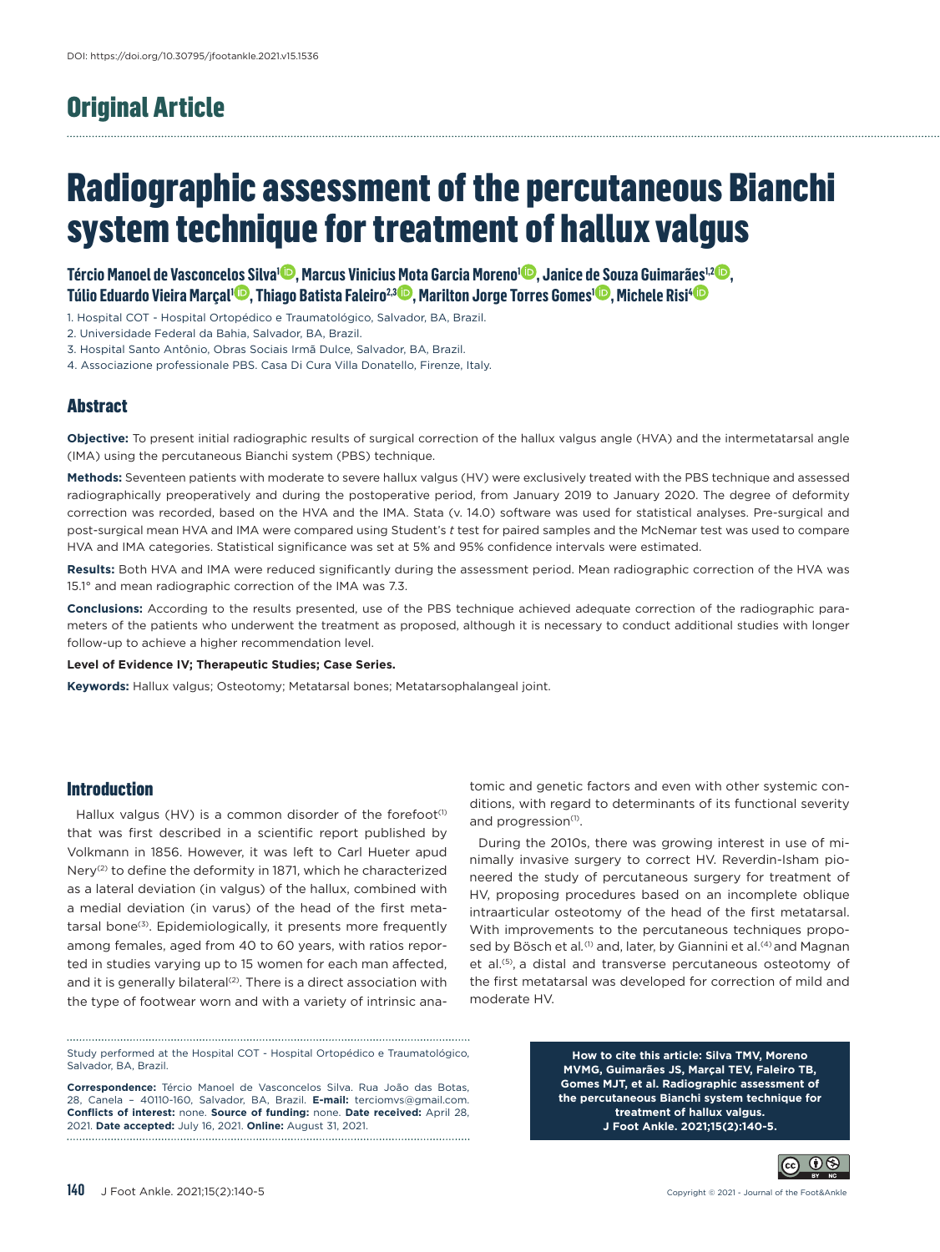# Original Article

# Radiographic assessment of the percutaneous Bianchi system technique for treatment of hallux valgus

**[Tércio Manoel de Vasconcelos Silva1](https://orcid.org/0000-0001-8764-8560) , [Marcus Vinicius Mota Garcia Moreno1](https://orcid.org/0000-0002-7320-9628) , [Janice de Souza Guimarães1,2](https://orcid.org/0000-0001-5996-6641) , [Túlio Eduardo Vieira Marçal1](https://orcid.org/0000-0002-9162-5908) , [Thiago Batista Faleiro2,3](https://orcid.org/0000-0002-6122-3609) , [Marilton Jorge Torres Gomes1](https://orcid.org/0000-0003-4068-2598) , [Michele Risi4](https://orcid.org/0000-0001-7683-7470)**

1. Hospital COT - Hospital Ortopédico e Traumatológico, Salvador, BA, Brazil.

2. Universidade Federal da Bahia, Salvador, BA, Brazil.

3. Hospital Santo Antônio, Obras Sociais Irmã Dulce, Salvador, BA, Brazil.

4. Associazione professionale PBS. Casa Di Cura Villa Donatello, Firenze, Italy.

# **Abstract**

**Objective:** To present initial radiographic results of surgical correction of the hallux valgus angle (HVA) and the intermetatarsal angle (IMA) using the percutaneous Bianchi system (PBS) technique.

**Methods:** Seventeen patients with moderate to severe hallux valgus (HV) were exclusively treated with the PBS technique and assessed radiographically preoperatively and during the postoperative period, from January 2019 to January 2020. The degree of deformity correction was recorded, based on the HVA and the IMA. Stata (v. 14.0) software was used for statistical analyses. Pre-surgical and post-surgical mean HVA and IMA were compared using Student's *t* test for paired samples and the McNemar test was used to compare HVA and IMA categories. Statistical significance was set at 5% and 95% confidence intervals were estimated.

**Results:** Both HVA and IMA were reduced significantly during the assessment period. Mean radiographic correction of the HVA was 15.1° and mean radiographic correction of the IMA was 7.3.

**Conclusions:** According to the results presented, use of the PBS technique achieved adequate correction of the radiographic parameters of the patients who underwent the treatment as proposed, although it is necessary to conduct additional studies with longer follow-up to achieve a higher recommendation level.

**Level of Evidence IV; Therapeutic Studies; Case Series.**

**Keywords:** Hallux valgus; Osteotomy; Metatarsal bones; Metatarsophalangeal joint.

# Introduction

Hallux valgus (HV) is a common disorder of the forefoot<sup>(1)</sup> that was first described in a scientific report published by Volkmann in 1856. However, it was left to Carl Hueter apud Nery(2) to define the deformity in 1871, which he characterized as a lateral deviation (in valgus) of the hallux, combined with a medial deviation (in varus) of the head of the first metatarsal bone<sup>(3)</sup>. Epidemiologically, it presents more frequently among females, aged from 40 to 60 years, with ratios reported in studies varying up to 15 women for each man affected, and it is generally bilateral<sup>(2)</sup>. There is a direct association with the type of footwear worn and with a variety of intrinsic anatomic and genetic factors and even with other systemic conditions, with regard to determinants of its functional severity and progression<sup>(1)</sup>.

During the 2010s, there was growing interest in use of minimally invasive surgery to correct HV. Reverdin-Isham pioneered the study of percutaneous surgery for treatment of HV, proposing procedures based on an incomplete oblique intraarticular osteotomy of the head of the first metatarsal. With improvements to the percutaneous techniques proposed by Bösch et al.<sup>(1)</sup> and, later, by Giannini et al.<sup>(4)</sup> and Magnan et al.(5), a distal and transverse percutaneous osteotomy of the first metatarsal was developed for correction of mild and moderate HV.

Study performed at the Hospital COT - Hospital Ortopédico e Traumatológico, Salvador, BA, Brazil.

**Correspondence:** Tércio Manoel de Vasconcelos Silva. Rua João das Botas, 28, Canela – 40110-160, Salvador, BA, Brazil. **E-mail:** [terciomvs@gmail.com](mailto:terciomvs@gmail.com). **Conflicts of interest:** none. **Source of funding:** none. **Date received:** April 28, 2021. **Date accepted:** July 16, 2021. **Online:** August 31, 2021.

**How to cite this article: Silva TMV, Moreno MVMG, Guimarães JS, Marçal TEV, Faleiro TB, Gomes MJT, et al. Radiographic assessment of the percutaneous Bianchi system technique for treatment of hallux valgus. J Foot Ankle. 2021;15(2):140-5.**

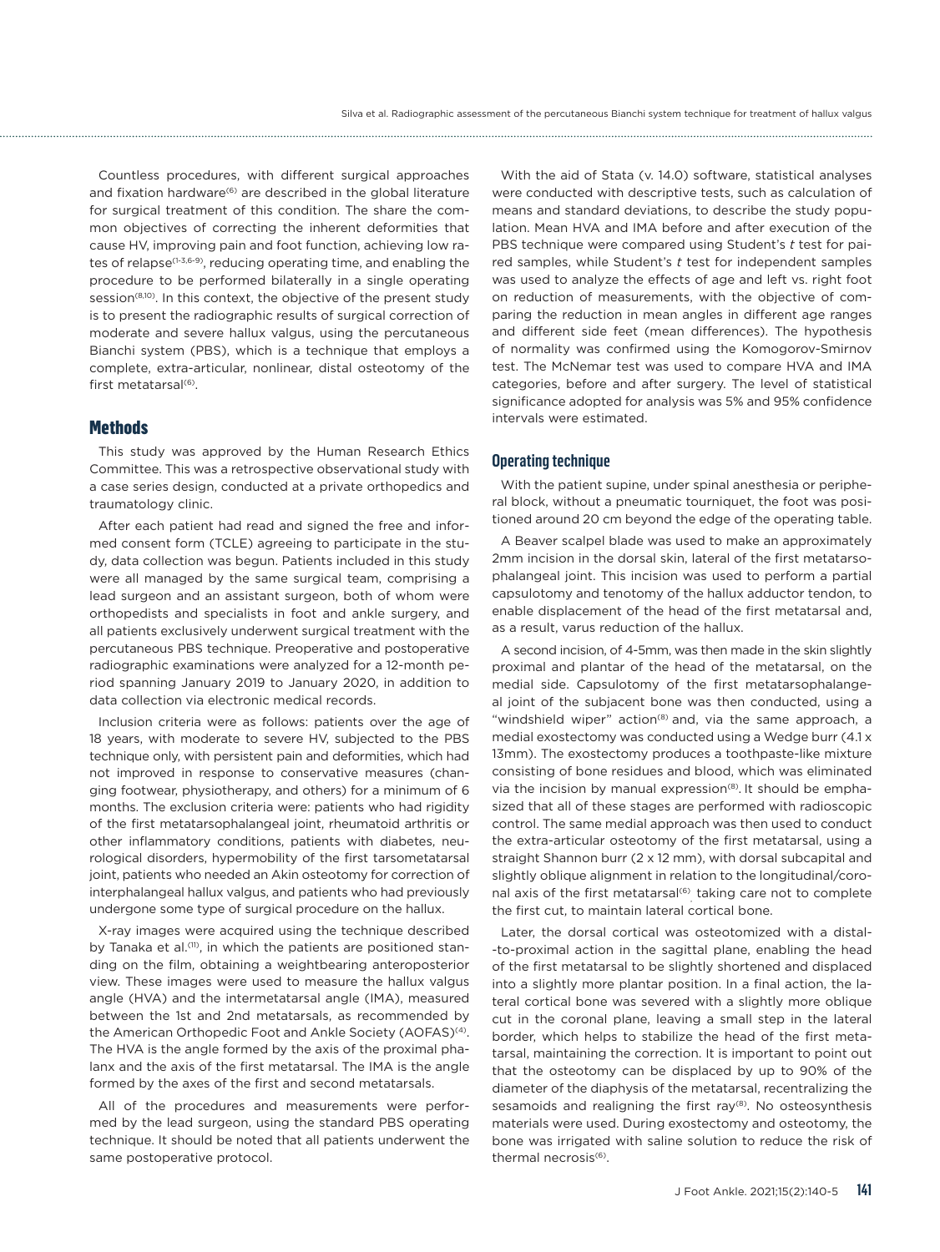Countless procedures, with different surgical approaches and fixation hardware<sup>(6)</sup> are described in the global literature for surgical treatment of this condition. The share the common objectives of correcting the inherent deformities that cause HV, improving pain and foot function, achieving low rates of relapse(1-3,6-9), reducing operating time, and enabling the procedure to be performed bilaterally in a single operating session<sup>(8,10)</sup>. In this context, the objective of the present study is to present the radiographic results of surgical correction of moderate and severe hallux valgus, using the percutaneous Bianchi system (PBS), which is a technique that employs a complete, extra-articular, nonlinear, distal osteotomy of the first metatarsal<sup>(6)</sup>.

#### **Methods**

This study was approved by the Human Research Ethics Committee. This was a retrospective observational study with a case series design, conducted at a private orthopedics and traumatology clinic.

After each patient had read and signed the free and informed consent form (TCLE) agreeing to participate in the study, data collection was begun. Patients included in this study were all managed by the same surgical team, comprising a lead surgeon and an assistant surgeon, both of whom were orthopedists and specialists in foot and ankle surgery, and all patients exclusively underwent surgical treatment with the percutaneous PBS technique. Preoperative and postoperative radiographic examinations were analyzed for a 12-month period spanning January 2019 to January 2020, in addition to data collection via electronic medical records.

Inclusion criteria were as follows: patients over the age of 18 years, with moderate to severe HV, subjected to the PBS technique only, with persistent pain and deformities, which had not improved in response to conservative measures (changing footwear, physiotherapy, and others) for a minimum of 6 months. The exclusion criteria were: patients who had rigidity of the first metatarsophalangeal joint, rheumatoid arthritis or other inflammatory conditions, patients with diabetes, neurological disorders, hypermobility of the first tarsometatarsal joint, patients who needed an Akin osteotomy for correction of interphalangeal hallux valgus, and patients who had previously undergone some type of surgical procedure on the hallux.

X-ray images were acquired using the technique described by Tanaka et al.<sup>(11)</sup>, in which the patients are positioned standing on the film, obtaining a weightbearing anteroposterior view. These images were used to measure the hallux valgus angle (HVA) and the intermetatarsal angle (IMA), measured between the 1st and 2nd metatarsals, as recommended by the American Orthopedic Foot and Ankle Society (AOFAS)<sup>(4)</sup>. The HVA is the angle formed by the axis of the proximal phalanx and the axis of the first metatarsal. The IMA is the angle formed by the axes of the first and second metatarsals.

All of the procedures and measurements were performed by the lead surgeon, using the standard PBS operating technique. It should be noted that all patients underwent the same postoperative protocol.

With the aid of Stata (v. 14.0) software, statistical analyses were conducted with descriptive tests, such as calculation of means and standard deviations, to describe the study population. Mean HVA and IMA before and after execution of the PBS technique were compared using Student's *t* test for paired samples, while Student's *t* test for independent samples was used to analyze the effects of age and left vs. right foot on reduction of measurements, with the objective of comparing the reduction in mean angles in different age ranges and different side feet (mean differences). The hypothesis of normality was confirmed using the Komogorov-Smirnov test. The McNemar test was used to compare HVA and IMA categories, before and after surgery. The level of statistical significance adopted for analysis was 5% and 95% confidence intervals were estimated.

#### **Operating technique**

With the patient supine, under spinal anesthesia or peripheral block, without a pneumatic tourniquet, the foot was positioned around 20 cm beyond the edge of the operating table.

A Beaver scalpel blade was used to make an approximately 2mm incision in the dorsal skin, lateral of the first metatarsophalangeal joint. This incision was used to perform a partial capsulotomy and tenotomy of the hallux adductor tendon, to enable displacement of the head of the first metatarsal and, as a result, varus reduction of the hallux.

A second incision, of 4-5mm, was then made in the skin slightly proximal and plantar of the head of the metatarsal, on the medial side. Capsulotomy of the first metatarsophalangeal joint of the subjacent bone was then conducted, using a "windshield wiper" action<sup>(8)</sup> and, via the same approach, a medial exostectomy was conducted using a Wedge burr (4.1 x 13mm). The exostectomy produces a toothpaste-like mixture consisting of bone residues and blood, which was eliminated via the incision by manual expression $(8)$ . It should be emphasized that all of these stages are performed with radioscopic control. The same medial approach was then used to conduct the extra-articular osteotomy of the first metatarsal, using a straight Shannon burr (2 x 12 mm), with dorsal subcapital and slightly oblique alignment in relation to the longitudinal/coronal axis of the first metatarsal<sup>(6)</sup>, taking care not to complete the first cut, to maintain lateral cortical bone.

Later, the dorsal cortical was osteotomized with a distal- -to-proximal action in the sagittal plane, enabling the head of the first metatarsal to be slightly shortened and displaced into a slightly more plantar position. In a final action, the lateral cortical bone was severed with a slightly more oblique cut in the coronal plane, leaving a small step in the lateral border, which helps to stabilize the head of the first metatarsal, maintaining the correction. It is important to point out that the osteotomy can be displaced by up to 90% of the diameter of the diaphysis of the metatarsal, recentralizing the sesamoids and realigning the first ray<sup>(8)</sup>. No osteosynthesis materials were used. During exostectomy and osteotomy, the bone was irrigated with saline solution to reduce the risk of thermal necrosis(6).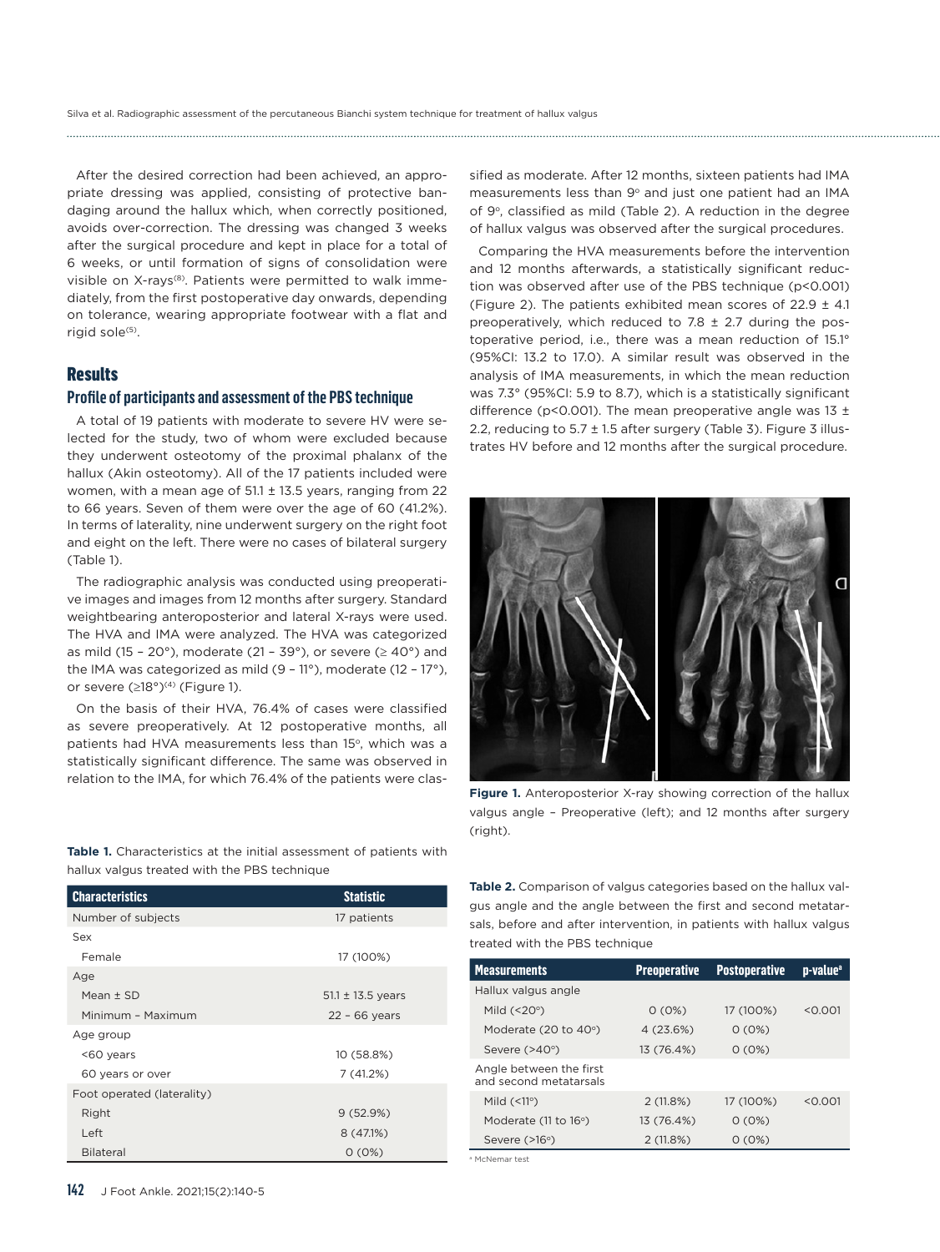After the desired correction had been achieved, an appropriate dressing was applied, consisting of protective bandaging around the hallux which, when correctly positioned, avoids over-correction. The dressing was changed 3 weeks after the surgical procedure and kept in place for a total of 6 weeks, or until formation of signs of consolidation were visible on X-rays<sup>(8)</sup>. Patients were permitted to walk immediately, from the first postoperative day onwards, depending on tolerance, wearing appropriate footwear with a flat and rigid sole<sup>(5)</sup>.

### **Results**

# **Profile of participants and assessment of the PBS technique**

A total of 19 patients with moderate to severe HV were selected for the study, two of whom were excluded because they underwent osteotomy of the proximal phalanx of the hallux (Akin osteotomy). All of the 17 patients included were women, with a mean age of  $51.1 \pm 13.5$  years, ranging from 22 to 66 years. Seven of them were over the age of 60 (41.2%). In terms of laterality, nine underwent surgery on the right foot and eight on the left. There were no cases of bilateral surgery (Table 1).

The radiographic analysis was conducted using preoperative images and images from 12 months after surgery. Standard weightbearing anteroposterior and lateral X-rays were used. The HVA and IMA were analyzed. The HVA was categorized as mild (15 - 20 $^{\circ}$ ), moderate (21 - 39 $^{\circ}$ ), or severe ( $\geq$  40 $^{\circ}$ ) and the IMA was categorized as mild (9 – 11°), moderate (12 – 17°), or severe  $(≥18°)^{(4)}$  (Figure 1).

On the basis of their HVA, 76.4% of cases were classified as severe preoperatively. At 12 postoperative months, all patients had HVA measurements less than 15°, which was a statistically significant difference. The same was observed in relation to the IMA, for which 76.4% of the patients were classified as moderate. After 12 months, sixteen patients had IMA measurements less than 9° and just one patient had an IMA of 9°, classified as mild (Table 2). A reduction in the degree of hallux valgus was observed after the surgical procedures.

Comparing the HVA measurements before the intervention and 12 months afterwards, a statistically significant reduction was observed after use of the PBS technique (p<0.001) (Figure 2). The patients exhibited mean scores of  $22.9 \pm 4.1$ preoperatively, which reduced to 7.8 ± 2.7 during the postoperative period, i.e., there was a mean reduction of 15.1° (95%CI: 13.2 to 17.0). A similar result was observed in the analysis of IMA measurements, in which the mean reduction was 7.3° (95%CI: 5.9 to 8.7), which is a statistically significant difference (p<0.001). The mean preoperative angle was 13  $\pm$ 2.2, reducing to  $5.7 \pm 1.5$  after surgery (Table 3). Figure 3 illustrates HV before and 12 months after the surgical procedure.



**Figure 1.** Anteroposterior X-ray showing correction of the hallux valgus angle – Preoperative (left); and 12 months after surgery (right).

**Table 1.** Characteristics at the initial assessment of patients with hallux valgus treated with the PBS technique

| <b>Characteristics</b>     | <b>Statistic</b>      |
|----------------------------|-----------------------|
| Number of subjects         | 17 patients           |
| Sex                        |                       |
| Female                     | 17 (100%)             |
| Age                        |                       |
| Mean $\pm$ SD              | $51.1 \pm 13.5$ years |
| Minimum - Maximum          | $22 - 66$ years       |
| Age group                  |                       |
| <60 years                  | 10 (58.8%)            |
| 60 years or over           | 7(41.2%)              |
| Foot operated (laterality) |                       |
| Right                      | 9(52.9%)              |
| Left                       | 8(47.1%)              |
| <b>Bilateral</b>           | 0(0%)                 |

**Table 2.** Comparison of valgus categories based on the hallux valgus angle and the angle between the first and second metatarsals, before and after intervention, in patients with hallux valgus treated with the PBS technique

| <b>Measurements</b>                               | <b>Preoperative</b> | <b>Postoperative</b> | p-value <sup>a</sup> |
|---------------------------------------------------|---------------------|----------------------|----------------------|
| Hallux valgus angle                               |                     |                      |                      |
| Mild $(< 20°)$                                    | $0(0\%)$            | 17 (100%)            | < 0.001              |
| Moderate $(20 \text{ to } 40^{\circ})$            | 4 (23.6%)           | $0(0\%)$             |                      |
| Severe (>40°)                                     | 13 (76.4%)          | $0(0\%)$             |                      |
| Angle between the first<br>and second metatarsals |                     |                      |                      |
| Mild $(\leq 11^{\circ})$                          | 2(11.8%)            | 17 (100%)            | < 0.001              |
| Moderate (11 to 16°)                              | 13 (76.4%)          | $0(0\%)$             |                      |
| Severe $($ >16 $\circ$ )                          | 2(11.8%)            | $0(0\%)$             |                      |
| <sup>a</sup> McNemar test                         |                     |                      |                      |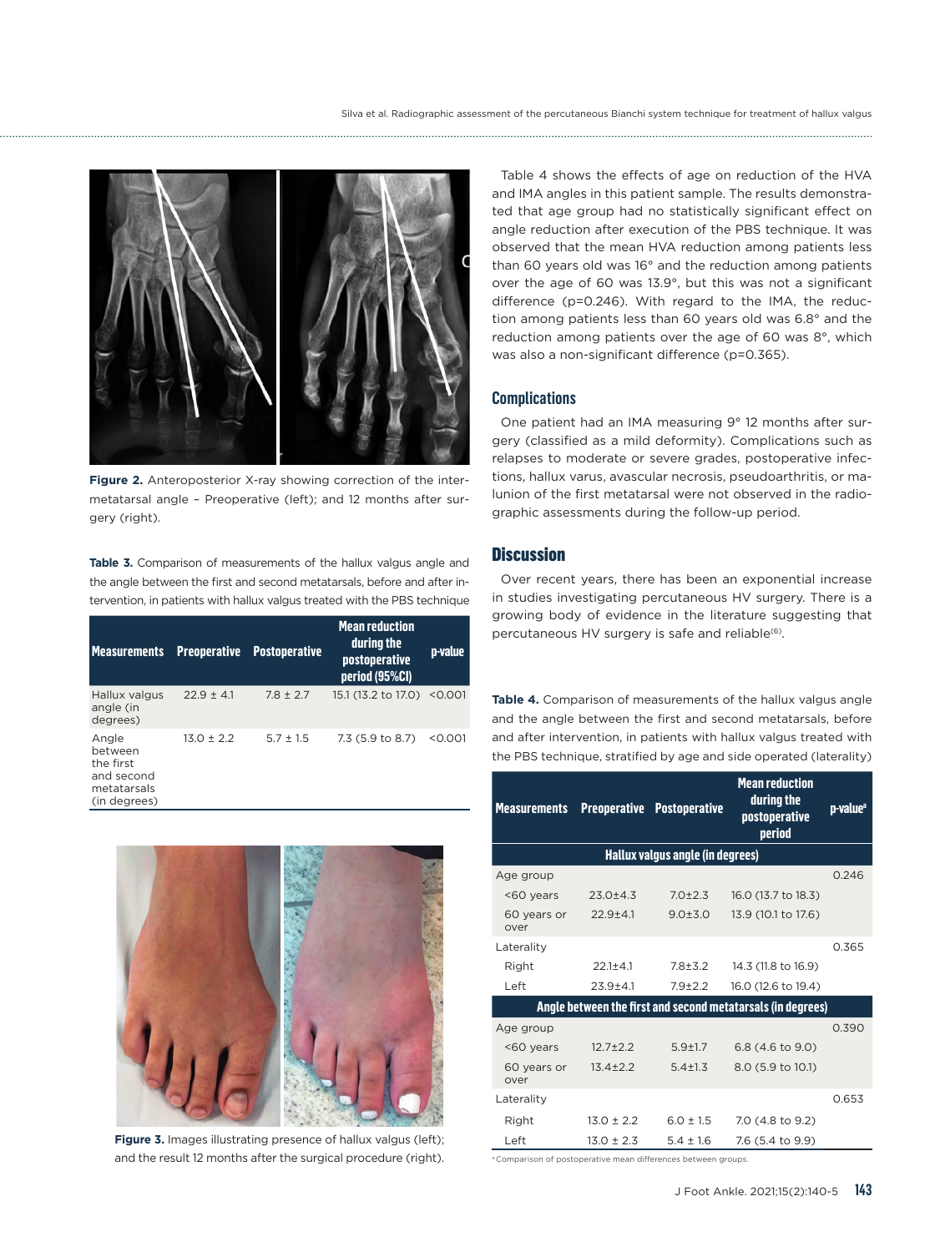

**Figure 2.** Anteroposterior X-ray showing correction of the intermetatarsal angle – Preoperative (left); and 12 months after surgery (right).

Table 3. Comparison of measurements of the hallux valgus angle and the angle between the first and second metatarsals, before and after intervention, in patients with hallux valgus treated with the PBS technique

| <b>Measurements</b>                                                        | <b>Preoperative</b> | <b>Postoperative</b> | <b>Mean reduction</b><br>during the<br><i>postoperative</i><br>period (95%Cl) | <b>p</b> -value |
|----------------------------------------------------------------------------|---------------------|----------------------|-------------------------------------------------------------------------------|-----------------|
| Hallux valgus<br>angle (in<br>degrees)                                     | $22.9 \pm 4.1$      | $7.8 \pm 2.7$        | 15.1 (13.2 to 17.0) < 0.001                                                   |                 |
| Angle<br>between<br>the first<br>and second<br>metatarsals<br>(in degrees) | $13.0 \pm 2.2$      | $5.7 \pm 1.5$        | 7.3 (5.9 to 8.7)                                                              | < 0.001         |



**Figure 3.** Images illustrating presence of hallux valgus (left); and the result 12 months after the surgical procedure (right).

Table 4 shows the effects of age on reduction of the HVA and IMA angles in this patient sample. The results demonstrated that age group had no statistically significant effect on angle reduction after execution of the PBS technique. It was observed that the mean HVA reduction among patients less than 60 years old was 16° and the reduction among patients over the age of 60 was 13.9°, but this was not a significant difference (p=0.246). With regard to the IMA, the reduction among patients less than 60 years old was 6.8° and the reduction among patients over the age of 60 was 8°, which was also a non-significant difference (p=0.365).

#### **Complications**

One patient had an IMA measuring 9° 12 months after surgery (classified as a mild deformity). Complications such as relapses to moderate or severe grades, postoperative infections, hallux varus, avascular necrosis, pseudoarthritis, or malunion of the first metatarsal were not observed in the radiographic assessments during the follow-up period.

# **Discussion**

Over recent years, there has been an exponential increase in studies investigating percutaneous HV surgery. There is a growing body of evidence in the literature suggesting that percutaneous HV surgery is safe and reliable<sup>(6)</sup>.

**Table 4.** Comparison of measurements of the hallux valgus angle and the angle between the first and second metatarsals, before and after intervention, in patients with hallux valgus treated with the PBS technique, stratified by age and side operated (laterality)

| <b>Measurements</b>                                         |                                  | <b>Preoperative Postoperative</b> | <b>Mean reduction</b><br>during the<br>postoperative<br>period | p-value <sup>a</sup> |  |  |
|-------------------------------------------------------------|----------------------------------|-----------------------------------|----------------------------------------------------------------|----------------------|--|--|
|                                                             | Hallux valgus angle (in degrees) |                                   |                                                                |                      |  |  |
| Age group                                                   |                                  |                                   |                                                                | 0.246                |  |  |
| <60 years                                                   | $23.0 + 4.3$                     | $7.0 + 2.3$                       | 16.0 (13.7 to 18.3)                                            |                      |  |  |
| 60 years or<br>over                                         | $22.9 + 4.1$                     | $9.0 + 3.0$                       | 13.9 (10.1 to 17.6)                                            |                      |  |  |
| Laterality                                                  |                                  |                                   |                                                                | 0.365                |  |  |
| Right                                                       | $22.1 + 4.1$                     | $7.8 + 3.2$                       | 14.3 (11.8 to 16.9)                                            |                      |  |  |
| Left                                                        | $23.9 + 4.1$                     | $7.9 + 2.2$                       | 16.0 (12.6 to 19.4)                                            |                      |  |  |
| Angle between the first and second metatarsals (in degrees) |                                  |                                   |                                                                |                      |  |  |
| Age group                                                   |                                  |                                   |                                                                | 0.390                |  |  |
| <60 years                                                   | $12.7 + 2.2$                     | $5.9 + 1.7$                       | 6.8 (4.6 to 9.0)                                               |                      |  |  |
| 60 years or<br>over                                         | $13.4 + 2.2$                     | $5.4 + 1.3$                       | 8.0 (5.9 to 10.1)                                              |                      |  |  |
| Laterality                                                  |                                  |                                   |                                                                | 0.653                |  |  |
| Right                                                       | $13.0 \pm 2.2$                   | $6.0 \pm 1.5$                     | 7.0 (4.8 to 9.2)                                               |                      |  |  |
| Left                                                        | $13.0 \pm 2.3$                   | $5.4 \pm 1.6$                     | 7.6 (5.4 to 9.9)                                               |                      |  |  |

a Comparison of postoperative mean differences between groups.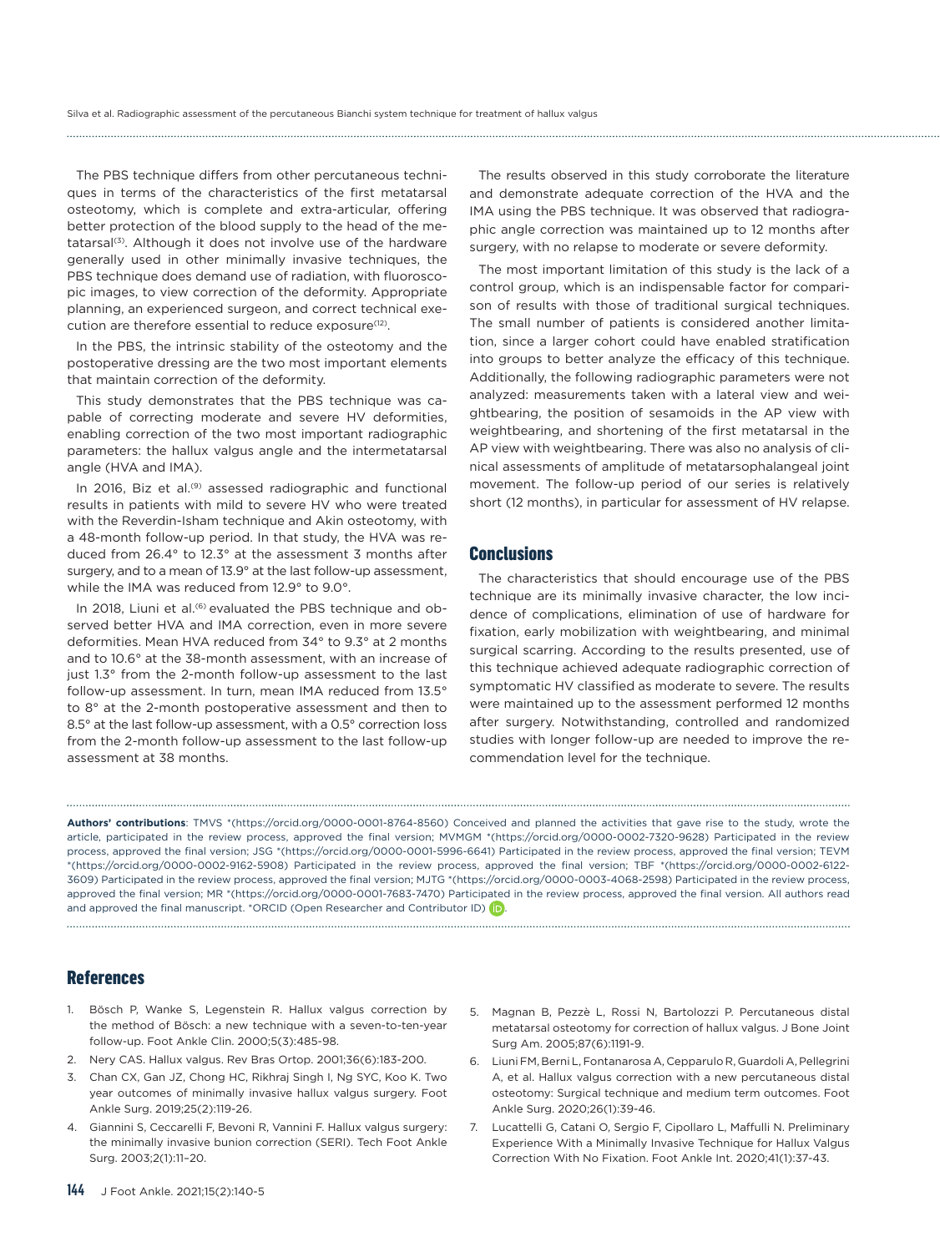The PBS technique differs from other percutaneous techniques in terms of the characteristics of the first metatarsal osteotomy, which is complete and extra-articular, offering better protection of the blood supply to the head of the metatarsal<sup>(3)</sup>. Although it does not involve use of the hardware generally used in other minimally invasive techniques, the PBS technique does demand use of radiation, with fluoroscopic images, to view correction of the deformity. Appropriate planning, an experienced surgeon, and correct technical execution are therefore essential to reduce exposure<sup>(12)</sup>.

In the PBS, the intrinsic stability of the osteotomy and the postoperative dressing are the two most important elements that maintain correction of the deformity.

This study demonstrates that the PBS technique was capable of correcting moderate and severe HV deformities, enabling correction of the two most important radiographic parameters: the hallux valgus angle and the intermetatarsal angle (HVA and IMA).

In 2016, Biz et al.<sup>(9)</sup> assessed radiographic and functional results in patients with mild to severe HV who were treated with the Reverdin-Isham technique and Akin osteotomy, with a 48-month follow-up period. In that study, the HVA was reduced from 26.4° to 12.3° at the assessment 3 months after surgery, and to a mean of 13.9° at the last follow-up assessment, while the IMA was reduced from 12.9° to 9.0°.

In 2018, Liuni et al.<sup>(6)</sup> evaluated the PBS technique and observed better HVA and IMA correction, even in more severe deformities. Mean HVA reduced from 34° to 9.3° at 2 months and to 10.6° at the 38-month assessment, with an increase of just 1.3° from the 2-month follow-up assessment to the last follow-up assessment. In turn, mean IMA reduced from 13.5° to 8° at the 2-month postoperative assessment and then to 8.5° at the last follow-up assessment, with a 0.5° correction loss from the 2-month follow-up assessment to the last follow-up assessment at 38 months.

The results observed in this study corroborate the literature and demonstrate adequate correction of the HVA and the IMA using the PBS technique. It was observed that radiographic angle correction was maintained up to 12 months after surgery, with no relapse to moderate or severe deformity.

The most important limitation of this study is the lack of a control group, which is an indispensable factor for comparison of results with those of traditional surgical techniques. The small number of patients is considered another limitation, since a larger cohort could have enabled stratification into groups to better analyze the efficacy of this technique. Additionally, the following radiographic parameters were not analyzed: measurements taken with a lateral view and weightbearing, the position of sesamoids in the AP view with weightbearing, and shortening of the first metatarsal in the AP view with weightbearing. There was also no analysis of clinical assessments of amplitude of metatarsophalangeal joint movement. The follow-up period of our series is relatively short (12 months), in particular for assessment of HV relapse.

#### **Conclusions**

The characteristics that should encourage use of the PBS technique are its minimally invasive character, the low incidence of complications, elimination of use of hardware for fixation, early mobilization with weightbearing, and minimal surgical scarring. According to the results presented, use of this technique achieved adequate radiographic correction of symptomatic HV classified as moderate to severe. The results were maintained up to the assessment performed 12 months after surgery. Notwithstanding, controlled and randomized studies with longer follow-up are needed to improve the recommendation level for the technique.

**Authors' contributions**: TMVS \*([https://orcid.org/0000-0001-8764-8560\)](https://orcid.org/0000-0001-8764-8560) Conceived and planned the activities that gave rise to the study, wrote the article, participated in the review process, approved the final version; MVMGM \*[\(https://orcid.org/0000-0002-7320-9628\)](https://orcid.org/0000-0002-7320-9628) Participated in the review process, approved the final version; JSG \*(<https://orcid.org/0000-0001-5996-6641>) Participated in the review process, approved the final version; TEVM \*[\(https://orcid.org/0000-0002-9162-5908\)](https://orcid.org/0000-0002-9162-5908) Participated in the review process, approved the final version; TBF \*[\(https://orcid.org/0000-0002-6122-](https://orcid.org/0000-0002-6122-3609) [3609\)](https://orcid.org/0000-0002-6122-3609) Participated in the review process, approved the final version; MJTG \*(<https://orcid.org/0000-0003-4068-2598>) Participated in the review process, approved the final version; MR \*[\(https://orcid.org/0000-0001-7683-7470](https://orcid.org/0000-0001-7683-7470)) Participated in the review process, approved the final version. All authors read and approved the final manuscript. \*ORCID (Open Researcher and Contributor ID) **D** 

# References

- 1. Bösch P, Wanke S, Legenstein R. Hallux valgus correction by the method of Bösch: a new technique with a seven-to-ten-year follow-up. Foot Ankle Clin. 2000;5(3):485-98.
- 2. Nery CAS. Hallux valgus. Rev Bras Ortop. 2001;36(6):183-200.
- 3. Chan CX, Gan JZ, Chong HC, Rikhraj Singh I, Ng SYC, Koo K. Two year outcomes of minimally invasive hallux valgus surgery. Foot Ankle Surg. 2019;25(2):119-26.
- 4. Giannini S, Ceccarelli F, Bevoni R, Vannini F. Hallux valgus surgery: the minimally invasive bunion correction (SERI). Tech Foot Ankle Surg. 2003;2(1):11–20.
- 5. Magnan B, Pezzè L, Rossi N, Bartolozzi P. Percutaneous distal metatarsal osteotomy for correction of hallux valgus. J Bone Joint Surg Am. 2005;87(6):1191-9.
- 6. Liuni FM, Berni L, Fontanarosa A, Cepparulo R, Guardoli A, Pellegrini A, et al. Hallux valgus correction with a new percutaneous distal osteotomy: Surgical technique and medium term outcomes. Foot Ankle Surg. 2020;26(1):39-46.
- 7. Lucattelli G, Catani O, Sergio F, Cipollaro L, Maffulli N. Preliminary Experience With a Minimally Invasive Technique for Hallux Valgus Correction With No Fixation. Foot Ankle Int. 2020;41(1):37-43.